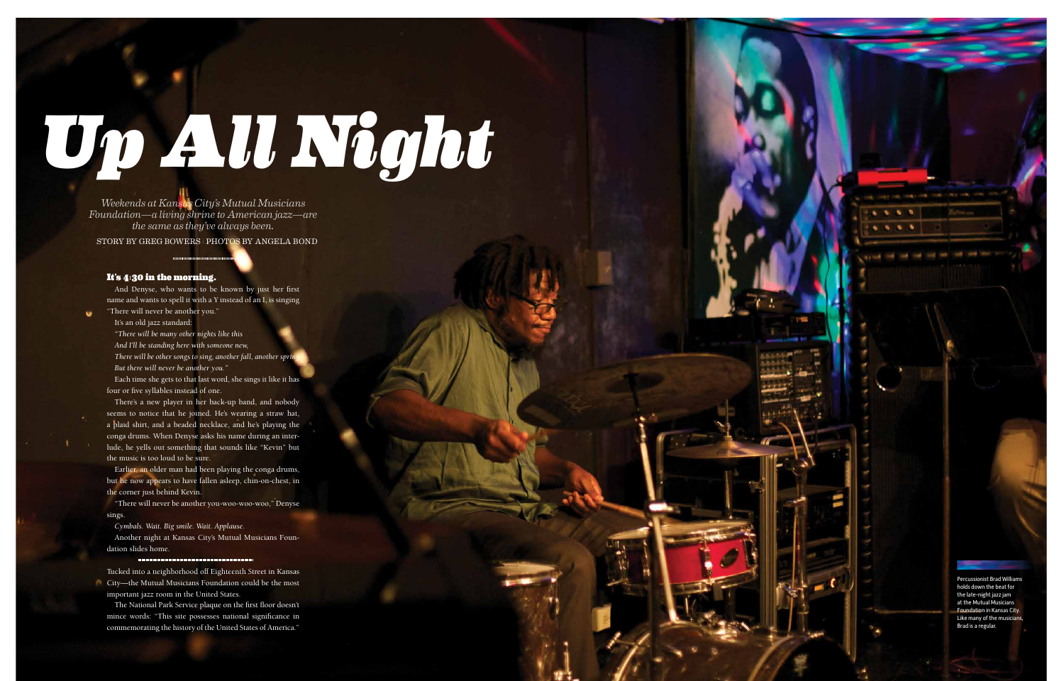Percussionist Brad Williams holds down the beat for the late-night jazz jam at the Mutual Musicians Foundation in Kansas City. Like many of the musicians, Brad is a regular.

**ALC: NO**  $8 - 8 - 8$ 

# It's 4:30 in the morning.

And Denyse, who wants to be known by just her first name and wants to spell it with a Y instead of an I, is singing

"There will never be another you." It's an old jazz standard:

 $\mathbf{w}$ 

*"There will be many other nights like this*

*And I'll be standing here with someone new,*

*There will be other songs to sing, another fall, another spring But there will never be another you."*

Each time she gets to that last word, she sings it like it has four or five syllables instead of one.

There's a new player in her back-up band, and nobody seems to notice that he joined. He's wearing a straw hat, a plaid shirt, and a beaded necklace, and he's playing the conga drums. When Denyse asks his name during an interlude, he yells out something that sounds like "Kevin" but the music is too loud to be sure.

Earlier, an older man had been playing the conga drums, but he now appears to have fallen asleep, chin-on-chest, in the corner just behind Kevin.

"There will never be another you-woo-woo-woo," Denyse sings.

*Cymbals. Wait. Big smile. Wait. Applause.*

Another night at Kansas City's Mutual Musicians Foun dation slides home.

Tucked into a neighborhood off Eighteenth Street in Kansas City—the Mutual Musicians Foundation could be the most important jazz room in the United States.

The National Park Service plaque on the first floor doesn't mince words: "This site possesses national significance in commemorating the history of the United States of America."

 $\mathbb{Z}$  and  $\mathbb{Z}$  is a set of  $\mathbb{Z}$  is a set of  $\mathbb{Z}$  is a set of  $\mathbb{Z}$  is a set of  $\mathbb{Z}$  is a set of  $\mathbb{Z}$  is a set of  $\mathbb{Z}$  is a set of  $\mathbb{Z}$  is a set of  $\mathbb{Z}$  is a set of  $\mathbb{Z}$  is a set o

*Weekends at Kansas City's Mutual Musicians Foundation—a living shrine to American jazz—are the same as they've always been.*

STORY BY GREG BOWERS | PHOTOS BY ANGELA BOND

# *Up All Night*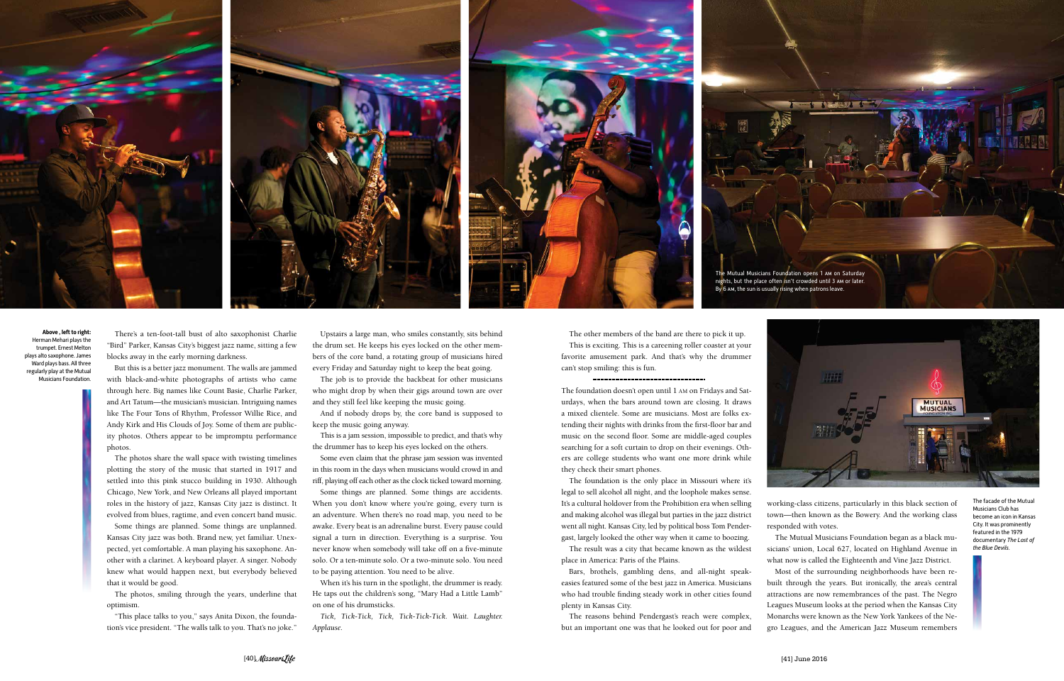There's a ten-foot-tall bust of alto saxophonist Charlie "Bird" Parker, Kansas City's biggest jazz name, sitting a few blocks away in the early morning darkness.

But this is a better jazz monument. The walls are jammed with black-and-white photographs of artists who came through here. Big names like Count Basie, Charlie Parker, and Art Tatum—the musician's musician. Intriguing names like The Four Tons of Rhythm, Professor Willie Rice, and Andy Kirk and His Clouds of Joy. Some of them are publicity photos. Others appear to be impromptu performance photos.

The photos share the wall space with twisting timelines plotting the story of the music that started in 1917 and settled into this pink stucco building in 1930. Although Chicago, New York, and New Orleans all played important roles in the history of jazz, Kansas City jazz is distinct. It evolved from blues, ragtime, and even concert band music.

Some things are planned. Some things are unplanned. Kansas City jazz was both. Brand new, yet familiar. Unexpected, yet comfortable. A man playing his saxophone. Another with a clarinet. A keyboard player. A singer. Nobody knew what would happen next, but everybody believed that it would be good.

The photos, smiling through the years, underline that optimism.

"This place talks to you," says Anita Dixon, the foundation's vice president. "The walls talk to you. That's no joke."

When it's his turn in the spotlight, the drummer is ready. He taps out the children's song, "Mary Had a Little Lamb" on one of his drumsticks.

Upstairs a large man, who smiles constantly, sits behind the drum set. He keeps his eyes locked on the other members of the core band, a rotating group of musicians hired every Friday and Saturday night to keep the beat going.

The job is to provide the backbeat for other musicians who might drop by when their gigs around town are over and they still feel like keeping the music going.

And if nobody drops by, the core band is supposed to keep the music going anyway.

This is a jam session, impossible to predict, and that's why the drummer has to keep his eyes locked on the others.

Some even claim that the phrase jam session was invented in this room in the days when musicians would crowd in and riff, playing off each other as the clock ticked toward morning.

Some things are planned. Some things are accidents. When you don't know where you're going, every turn is an adventure. When there's no road map, you need to be awake. Every beat is an adrenaline burst. Every pause could signal a turn in direction. Everything is a surprise. You never know when somebody will take off on a five-minute solo. Or a ten-minute solo. Or a two-minute solo. You need to be paying attention. You need to be alive.

*Tick, Tick-Tick, Tick, Tick-Tick-Tick. Wait. Laughter. Applause.*

The other members of the band are there to pick it up. This is exciting. This is a careening roller coaster at your favorite amusement park. And that's why the drummer can't stop smiling: this is fun.

The foundation doesn't open until 1 am on Fridays and Saturdays, when the bars around town are closing. It draws a mixed clientele. Some are musicians. Most are folks extending their nights with drinks from the first-floor bar and music on the second floor. Some are middle-aged couples searching for a soft curtain to drop on their evenings. Others are college students who want one more drink while they check their smart phones.

The foundation is the only place in Missouri where it's legal to sell alcohol all night, and the loophole makes sense. It's a cultural holdover from the Prohibition era when selling and making alcohol was illegal but parties in the jazz district went all night. Kansas City, led by political boss Tom Pendergast, largely looked the other way when it came to boozing.

The result was a city that became known as the wildest place in America: Paris of the Plains.

Bars, brothels, gambling dens, and all-night speakeasies featured some of the best jazz in America. Musicians who had trouble finding steady work in other cities found plenty in Kansas City.

The reasons behind Pendergast's reach were complex, but an important one was that he looked out for poor and



working-class citizens, particularly in this black section of town—then known as the Bowery. And the working class responded with votes.

The Mutual Musicians Foundation began as a black musicians' union, Local 627, located on Highland Avenue in what now is called the Eighteenth and Vine Jazz District.

Most of the surrounding neighborhoods have been rebuilt through the years. But ironically, the area's central attractions are now remembrances of the past. The Negro Leagues Museum looks at the period when the Kansas City Monarchs were known as the New York Yankees of the Negro Leagues, and the American Jazz Museum remembers





**Above , left to right:**  Herman Mehari plays the trumpet. Ernest Melton plays alto saxophone. James Ward plays bass. All three regularly play at the Mutual Musicians Foundation.

The facade of the Mutual Musicians Club has become an icon in Kansas City. It was prominently featured in the 1979 documentary *The Last of the Blue Devils*.